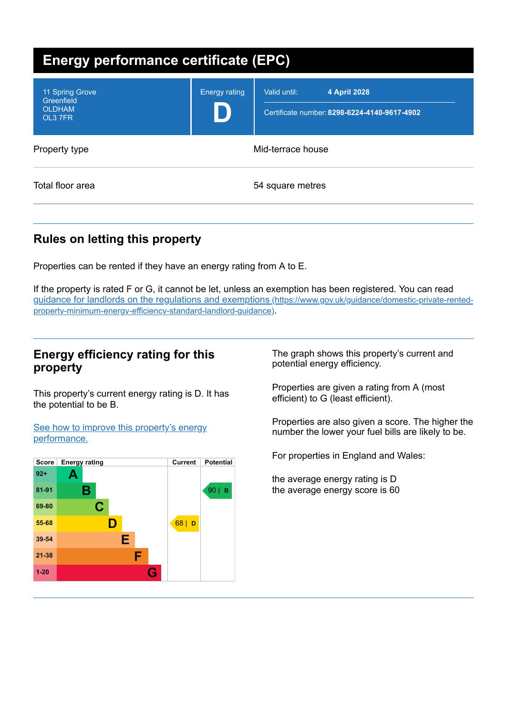| <b>Energy performance certificate (EPC)</b>               |                      |                                                                              |  |  |
|-----------------------------------------------------------|----------------------|------------------------------------------------------------------------------|--|--|
| 11 Spring Grove<br>Greenfield<br><b>OLDHAM</b><br>OL3 7FR | <b>Energy rating</b> | 4 April 2028<br>Valid until:<br>Certificate number: 8298-6224-4140-9617-4902 |  |  |
| Property type                                             | Mid-terrace house    |                                                                              |  |  |
| Total floor area                                          | 54 square metres     |                                                                              |  |  |

# **Rules on letting this property**

Properties can be rented if they have an energy rating from A to E.

If the property is rated F or G, it cannot be let, unless an exemption has been registered. You can read guidance for landlords on the regulations and exemptions (https://www.gov.uk/guidance/domestic-private-rented[property-minimum-energy-efficiency-standard-landlord-guidance\)](https://www.gov.uk/guidance/domestic-private-rented-property-minimum-energy-efficiency-standard-landlord-guidance).

## **Energy efficiency rating for this property**

This property's current energy rating is D. It has the potential to be B.

See how to improve this property's energy [performance.](#page-2-0)



The graph shows this property's current and potential energy efficiency.

Properties are given a rating from A (most efficient) to G (least efficient).

Properties are also given a score. The higher the number the lower your fuel bills are likely to be.

For properties in England and Wales:

the average energy rating is D the average energy score is 60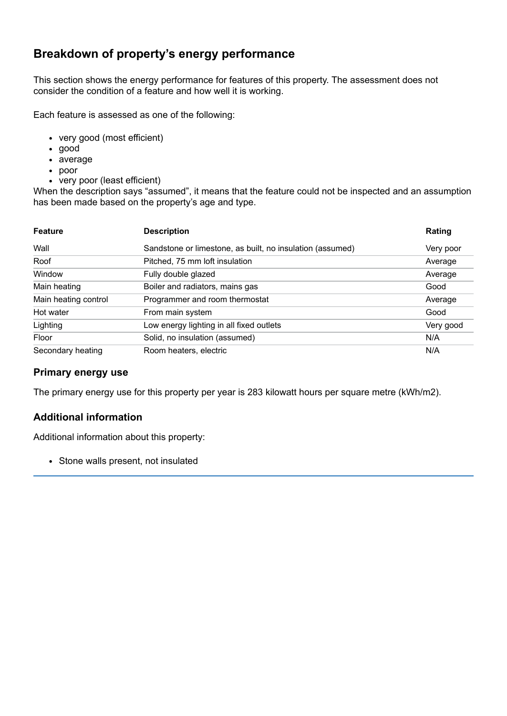## **Breakdown of property's energy performance**

This section shows the energy performance for features of this property. The assessment does not consider the condition of a feature and how well it is working.

Each feature is assessed as one of the following:

- very good (most efficient)
- good
- average
- poor
- very poor (least efficient)

When the description says "assumed", it means that the feature could not be inspected and an assumption has been made based on the property's age and type.

| <b>Feature</b>       | <b>Description</b>                                        | Rating    |
|----------------------|-----------------------------------------------------------|-----------|
| Wall                 | Sandstone or limestone, as built, no insulation (assumed) | Very poor |
| Roof                 | Pitched, 75 mm loft insulation                            | Average   |
| Window               | Fully double glazed                                       | Average   |
| Main heating         | Boiler and radiators, mains gas                           | Good      |
| Main heating control | Programmer and room thermostat                            | Average   |
| Hot water            | From main system                                          | Good      |
| Lighting             | Low energy lighting in all fixed outlets                  | Very good |
| Floor                | Solid, no insulation (assumed)                            | N/A       |
| Secondary heating    | Room heaters, electric                                    | N/A       |

#### **Primary energy use**

The primary energy use for this property per year is 283 kilowatt hours per square metre (kWh/m2).

### **Additional information**

Additional information about this property:

• Stone walls present, not insulated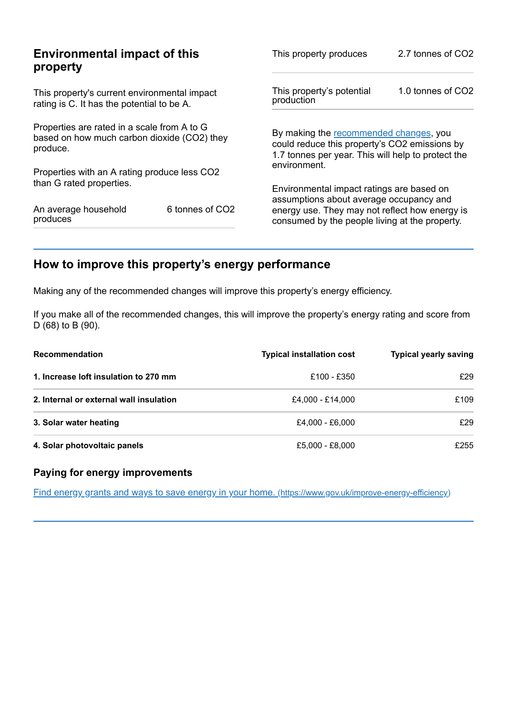| <b>Environmental impact of this</b><br>property                                                        |                 | This property produces                                                                                                                        | 2.7 tonnes of CO2 |
|--------------------------------------------------------------------------------------------------------|-----------------|-----------------------------------------------------------------------------------------------------------------------------------------------|-------------------|
| This property's current environmental impact<br>rating is C. It has the potential to be A.             |                 | This property's potential<br>production                                                                                                       | 1.0 tonnes of CO2 |
| Properties are rated in a scale from A to G<br>based on how much carbon dioxide (CO2) they<br>produce. |                 | By making the recommended changes, you<br>could reduce this property's CO2 emissions by<br>1.7 tonnes per year. This will help to protect the |                   |
| Properties with an A rating produce less CO2                                                           |                 | environment.                                                                                                                                  |                   |
| than G rated properties.                                                                               |                 | Environmental impact ratings are based on<br>assumptions about average occupancy and                                                          |                   |
| An average household<br>produces                                                                       | 6 tonnes of CO2 | energy use. They may not reflect how energy is<br>consumed by the people living at the property.                                              |                   |

# <span id="page-2-0"></span>**How to improve this property's energy performance**

Making any of the recommended changes will improve this property's energy efficiency.

If you make all of the recommended changes, this will improve the property's energy rating and score from D (68) to B (90).

| <b>Recommendation</b>                   | <b>Typical installation cost</b> | <b>Typical yearly saving</b> |
|-----------------------------------------|----------------------------------|------------------------------|
| 1. Increase loft insulation to 270 mm   | £100 - £350                      | £29                          |
| 2. Internal or external wall insulation | £4.000 - £14.000                 | £109                         |
| 3. Solar water heating                  | £4.000 - £6.000                  | £29                          |
| 4. Solar photovoltaic panels            | £5,000 - £8,000                  | £255                         |

## **Paying for energy improvements**

Find energy grants and ways to save energy in your home. [\(https://www.gov.uk/improve-energy-efficiency\)](https://www.gov.uk/improve-energy-efficiency)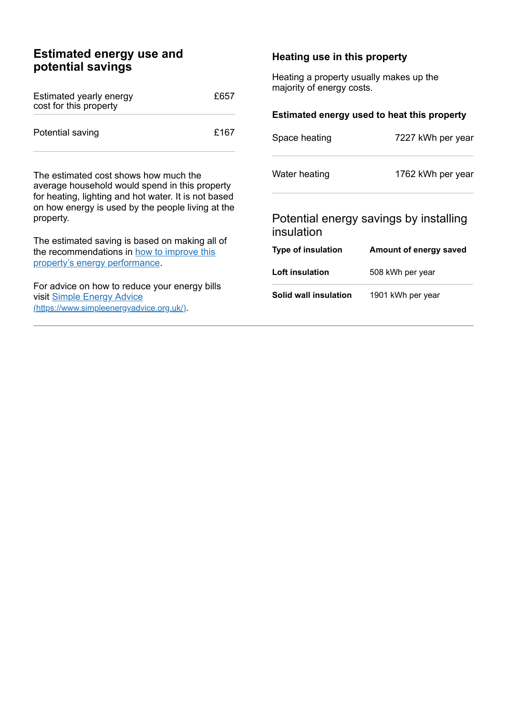| <b>Estimated energy use and</b><br>potential savings                                                                                                                                                                                                                                                              |      | Heating use in this property                                                                                        |                        |
|-------------------------------------------------------------------------------------------------------------------------------------------------------------------------------------------------------------------------------------------------------------------------------------------------------------------|------|---------------------------------------------------------------------------------------------------------------------|------------------------|
| Estimated yearly energy<br>cost for this property                                                                                                                                                                                                                                                                 | £657 | Heating a property usually makes up the<br>majority of energy costs.<br>Estimated energy used to heat this property |                        |
| Potential saving                                                                                                                                                                                                                                                                                                  | £167 | Space heating                                                                                                       | 7227 kWh per year      |
| The estimated cost shows how much the<br>average household would spend in this property<br>for heating, lighting and hot water. It is not based<br>on how energy is used by the people living at the<br>property.<br>The estimated saving is based on making all of<br>the recommendations in how to improve this |      | Water heating                                                                                                       | 1762 kWh per year      |
|                                                                                                                                                                                                                                                                                                                   |      | Potential energy savings by installing<br>insulation                                                                |                        |
|                                                                                                                                                                                                                                                                                                                   |      | Type of insulation                                                                                                  | Amount of energy saved |
| property's energy performance.                                                                                                                                                                                                                                                                                    |      | Loft insulation                                                                                                     | 508 kWh per year       |
| For advice on how to reduce your energy bills<br>visit Simple Energy Advice<br>(https://www.simpleenergyadvice.org.uk/).                                                                                                                                                                                          |      | Solid wall insulation                                                                                               | 1901 kWh per year      |